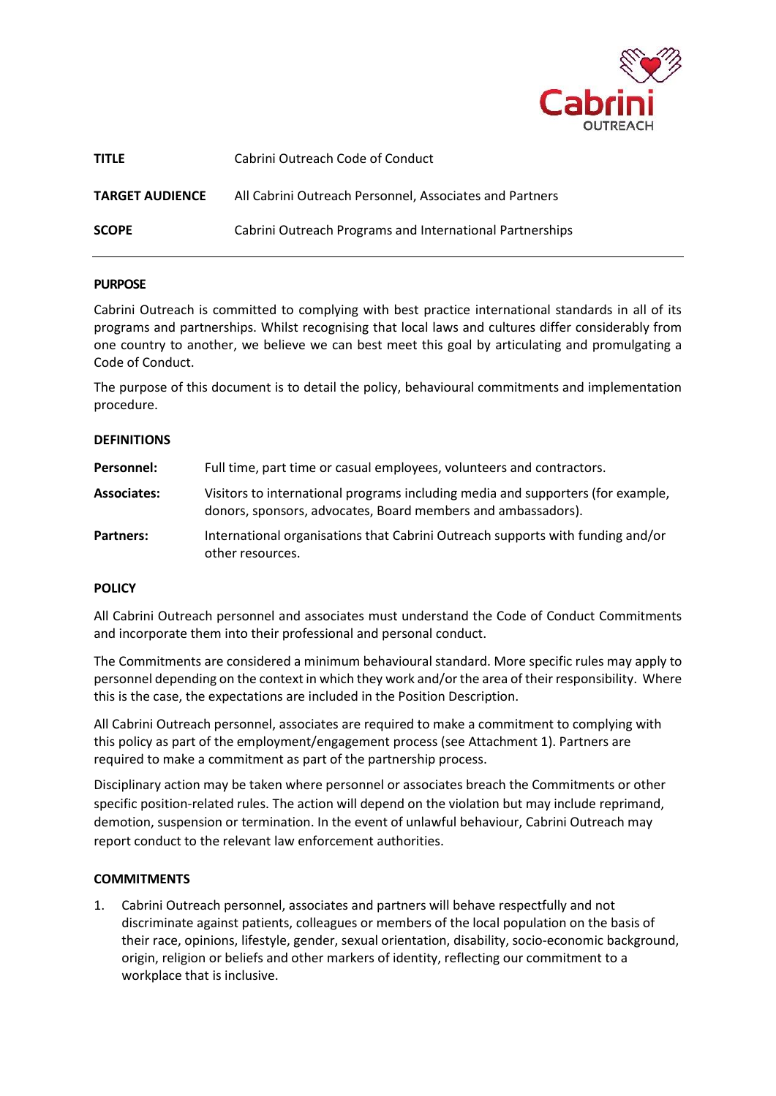

| <b>TITLE</b>           | Cabrini Outreach Code of Conduct                         |  |
|------------------------|----------------------------------------------------------|--|
| <b>TARGET AUDIENCE</b> | All Cabrini Outreach Personnel, Associates and Partners  |  |
| <b>SCOPE</b>           | Cabrini Outreach Programs and International Partnerships |  |

### **PURPOSE**

Cabrini Outreach is committed to complying with best practice international standards in all of its programs and partnerships. Whilst recognising that local laws and cultures differ considerably from one country to another, we believe we can best meet this goal by articulating and promulgating a Code of Conduct.

The purpose of this document is to detail the policy, behavioural commitments and implementation procedure.

#### **DEFINITIONS**

| Personnel:       | Full time, part time or casual employees, volunteers and contractors.                                                                           |  |
|------------------|-------------------------------------------------------------------------------------------------------------------------------------------------|--|
| Associates:      | Visitors to international programs including media and supporters (for example,<br>donors, sponsors, advocates, Board members and ambassadors). |  |
| <b>Partners:</b> | International organisations that Cabrini Outreach supports with funding and/or<br>other resources.                                              |  |

#### **POLICY**

All Cabrini Outreach personnel and associates must understand the Code of Conduct Commitments and incorporate them into their professional and personal conduct.

The Commitments are considered a minimum behavioural standard. More specific rules may apply to personnel depending on the context in which they work and/or the area of their responsibility. Where this is the case, the expectations are included in the Position Description.

All Cabrini Outreach personnel, associates are required to make a commitment to complying with this policy as part of the employment/engagement process (see Attachment 1). Partners are required to make a commitment as part of the partnership process.

Disciplinary action may be taken where personnel or associates breach the Commitments or other specific position-related rules. The action will depend on the violation but may include reprimand, demotion, suspension or termination. In the event of unlawful behaviour, Cabrini Outreach may report conduct to the relevant law enforcement authorities.

#### **COMMITMENTS**

1. Cabrini Outreach personnel, associates and partners will behave respectfully and not discriminate against patients, colleagues or members of the local population on the basis of their race, opinions, lifestyle, gender, sexual orientation, disability, socio-economic background, origin, religion or beliefs and other markers of identity, reflecting our commitment to a workplace that is inclusive.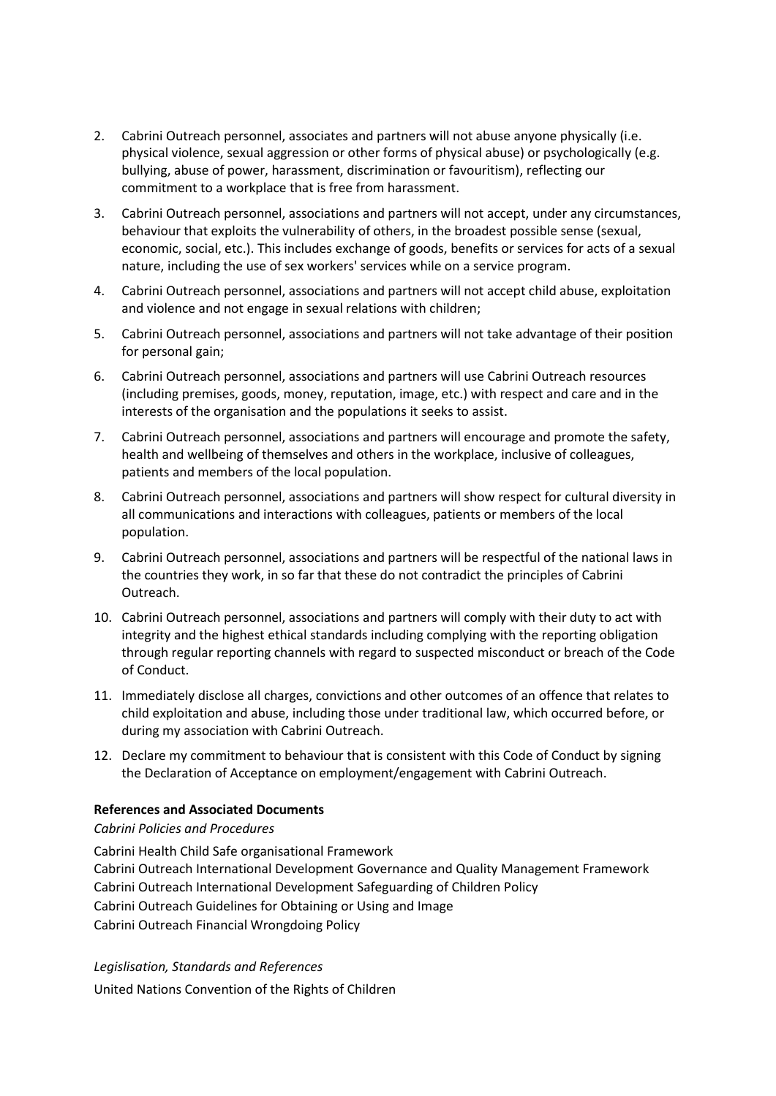- 2. Cabrini Outreach personnel, associates and partners will not abuse anyone physically (i.e. physical violence, sexual aggression or other forms of physical abuse) or psychologically (e.g. bullying, abuse of power, harassment, discrimination or favouritism), reflecting our commitment to a workplace that is free from harassment.
- 3. Cabrini Outreach personnel, associations and partners will not accept, under any circumstances, behaviour that exploits the vulnerability of others, in the broadest possible sense (sexual, economic, social, etc.). This includes exchange of goods, benefits or services for acts of a sexual nature, including the use of sex workers' services while on a service program.
- 4. Cabrini Outreach personnel, associations and partners will not accept child abuse, exploitation and violence and not engage in sexual relations with children;
- 5. Cabrini Outreach personnel, associations and partners will not take advantage of their position for personal gain;
- 6. Cabrini Outreach personnel, associations and partners will use Cabrini Outreach resources (including premises, goods, money, reputation, image, etc.) with respect and care and in the interests of the organisation and the populations it seeks to assist.
- 7. Cabrini Outreach personnel, associations and partners will encourage and promote the safety, health and wellbeing of themselves and others in the workplace, inclusive of colleagues, patients and members of the local population.
- 8. Cabrini Outreach personnel, associations and partners will show respect for cultural diversity in all communications and interactions with colleagues, patients or members of the local population.
- 9. Cabrini Outreach personnel, associations and partners will be respectful of the national laws in the countries they work, in so far that these do not contradict the principles of Cabrini Outreach.
- 10. Cabrini Outreach personnel, associations and partners will comply with their duty to act with integrity and the highest ethical standards including complying with the reporting obligation through regular reporting channels with regard to suspected misconduct or breach of the Code of Conduct.
- 11. Immediately disclose all charges, convictions and other outcomes of an offence that relates to child exploitation and abuse, including those under traditional law, which occurred before, or during my association with Cabrini Outreach.
- 12. Declare my commitment to behaviour that is consistent with this Code of Conduct by signing the Declaration of Acceptance on employment/engagement with Cabrini Outreach.

# **References and Associated Documents**

### *Cabrini Policies and Procedures*

Cabrini Health Child Safe organisational Framework Cabrini Outreach International Development Governance and Quality Management Framework Cabrini Outreach International Development Safeguarding of Children Policy Cabrini Outreach Guidelines for Obtaining or Using and Image Cabrini Outreach Financial Wrongdoing Policy

# *Legislisation, Standards and References*

United Nations Convention of the Rights of Children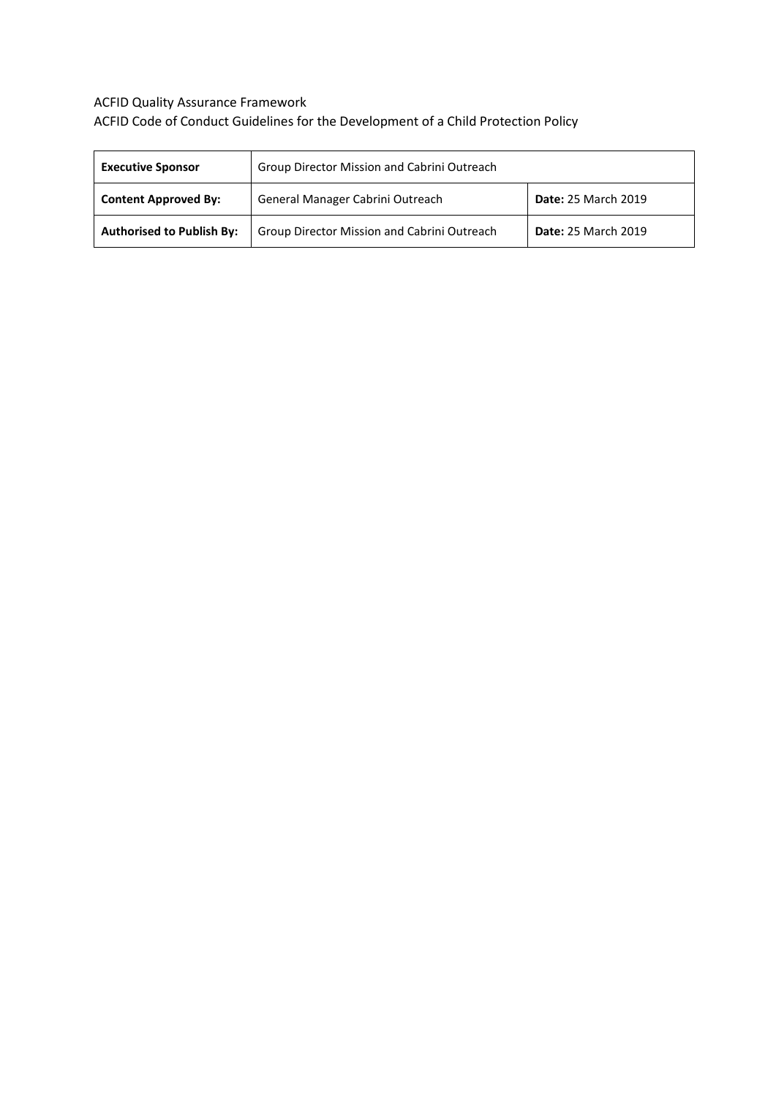# ACFID Quality Assurance Framework ACFID Code of Conduct Guidelines for the Development of a Child Protection Policy

| <b>Executive Sponsor</b>         | Group Director Mission and Cabrini Outreach |                            |  |
|----------------------------------|---------------------------------------------|----------------------------|--|
| <b>Content Approved By:</b>      | General Manager Cabrini Outreach            | <b>Date: 25 March 2019</b> |  |
| <b>Authorised to Publish By:</b> | Group Director Mission and Cabrini Outreach | <b>Date: 25 March 2019</b> |  |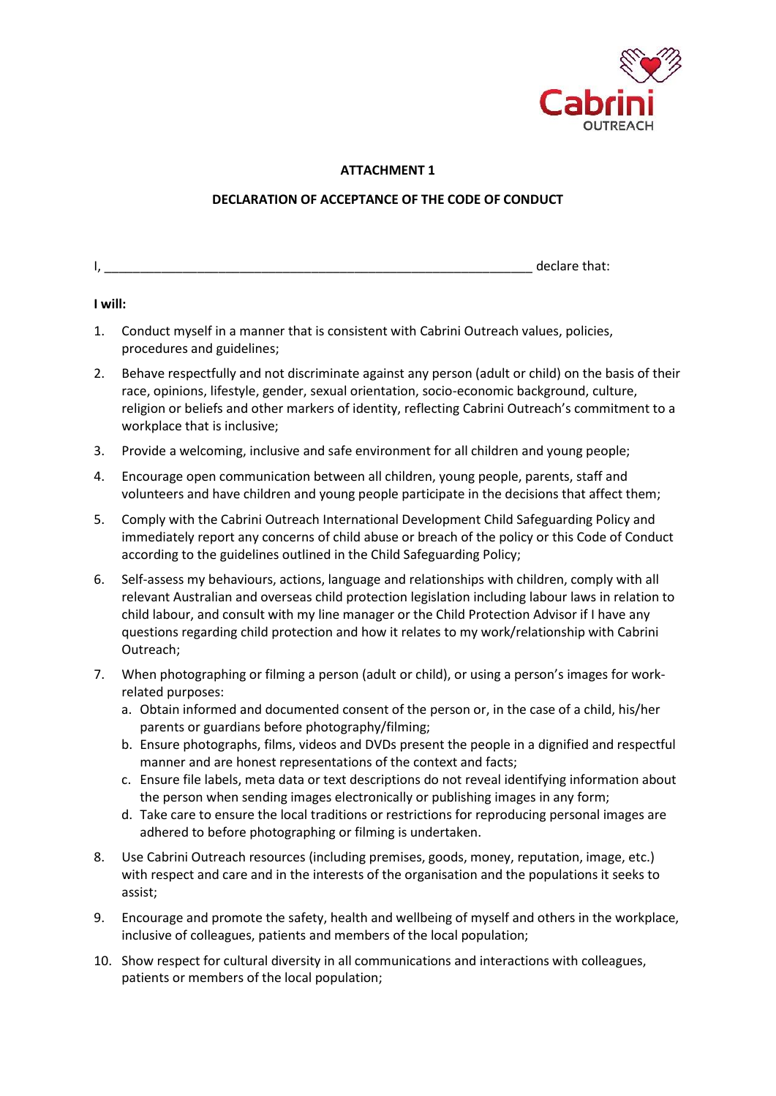

# **ATTACHMENT 1**

# **DECLARATION OF ACCEPTANCE OF THE CODE OF CONDUCT**

### **I will:**

- 1. Conduct myself in a manner that is consistent with Cabrini Outreach values, policies, procedures and guidelines;
- 2. Behave respectfully and not discriminate against any person (adult or child) on the basis of their race, opinions, lifestyle, gender, sexual orientation, socio-economic background, culture, religion or beliefs and other markers of identity, reflecting Cabrini Outreach's commitment to a workplace that is inclusive;
- 3. Provide a welcoming, inclusive and safe environment for all children and young people;
- 4. Encourage open communication between all children, young people, parents, staff and volunteers and have children and young people participate in the decisions that affect them;
- 5. Comply with the Cabrini Outreach International Development Child Safeguarding Policy and immediately report any concerns of child abuse or breach of the policy or this Code of Conduct according to the guidelines outlined in the Child Safeguarding Policy;
- 6. Self-assess my behaviours, actions, language and relationships with children, comply with all relevant Australian and overseas child protection legislation including labour laws in relation to child labour, and consult with my line manager or the Child Protection Advisor if I have any questions regarding child protection and how it relates to my work/relationship with Cabrini Outreach;
- 7. When photographing or filming a person (adult or child), or using a person's images for workrelated purposes:
	- a. Obtain informed and documented consent of the person or, in the case of a child, his/her parents or guardians before photography/filming;
	- b. Ensure photographs, films, videos and DVDs present the people in a dignified and respectful manner and are honest representations of the context and facts;
	- c. Ensure file labels, meta data or text descriptions do not reveal identifying information about the person when sending images electronically or publishing images in any form;
	- d. Take care to ensure the local traditions or restrictions for reproducing personal images are adhered to before photographing or filming is undertaken.
- 8. Use Cabrini Outreach resources (including premises, goods, money, reputation, image, etc.) with respect and care and in the interests of the organisation and the populations it seeks to assist;
- 9. Encourage and promote the safety, health and wellbeing of myself and others in the workplace, inclusive of colleagues, patients and members of the local population;
- 10. Show respect for cultural diversity in all communications and interactions with colleagues, patients or members of the local population;